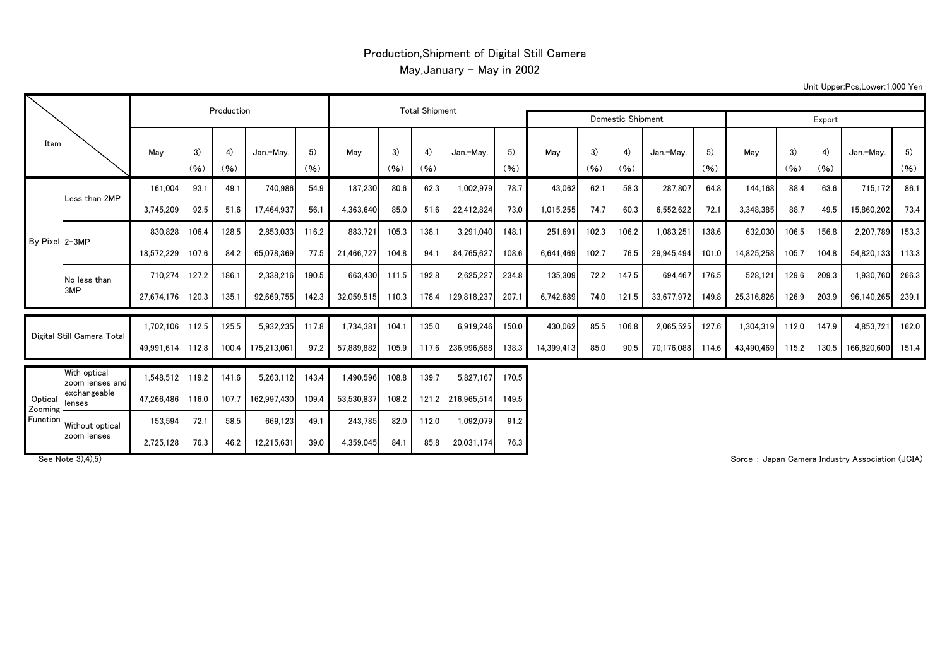## Production,Shipment of Digital Still Camera May, January - May in 2002

Unit Upper:Pcs,Lower:1,000 Yen

| Item                           |                                 |            | Production | <b>Total Shipment</b> |             |            |            |            |            |                   |            |            |            |            |            |            |            |            |            |             |            |
|--------------------------------|---------------------------------|------------|------------|-----------------------|-------------|------------|------------|------------|------------|-------------------|------------|------------|------------|------------|------------|------------|------------|------------|------------|-------------|------------|
|                                |                                 |            |            |                       |             |            |            |            |            | Domestic Shipment | Export     |            |            |            |            |            |            |            |            |             |            |
|                                |                                 | Mav        | 3)<br>(96) | 4)<br>(96)            | Jan.-Mav.   | 5)<br>(96) | May        | 3)<br>(96) | 4)<br>(96) | Jan.-Mav.         | 5)<br>(96) | May        | 3)<br>(96) | 4)<br>(96) | Jan.-Mav.  | 5)<br>(96) | May        | 3)<br>(96) | 4)<br>(96) | Jan.-Mav.   | 5)<br>(96) |
| By Pixel 2-3MP                 |                                 | 161.004    | 93.1       | 49.1                  | 740,986     | 54.9       | 187,230    | 80.6       | 62.3       | 1,002,979         | 78.7       | 43.062     | 62.1       | 58.3       | 287,807    | 64.8       | 144,168    | 88.4       | 63.6       | 715,172     | 86.1       |
|                                | Less than 2MP                   | 3,745,209  | 92.5       | 51.6                  | 17,464,937  | 56.1       | 4,363,640  | 85.0       | 51.6       | 22,412,824        | 73.0       | 1,015,255  | 74.7       | 60.3       | 6,552,622  | 72.1       | 3,348,385  | 88.7       | 49.5       | 15,860,202  | 73.4       |
|                                |                                 | 830.828    | 106.4      | 128.5                 | 2,853,033   | 116.2      | 883.721    | 105.3      | 138.1      | 3,291,040         | 148.1      | 251.691    | 102.3      | 106.2      | 1,083,251  | 138.6      | 632,030    | 106.5      | 156.8      | 2,207,789   | 153.3      |
|                                |                                 | 18,572,229 | 107.6      | 84.2                  | 65.078.369  | 77.5       | 21.466.727 | 104.8      | 94.1       | 84,765,627        | 108.6      | 6.641.469  | 102.7      | 76.5       | 29,945,494 | 101.0      | 14,825,258 | 105.7      | 104.8      | 54,820,133  | 113.3      |
|                                | No less than                    | 710,274    | 127.2      | 186.1                 | 2,338,216   | 190.5      | 663,430    | 111.5      | 192.8      | 2,625,227         | 234.8      | 135,309    | 72.2       | 147.5      | 694,467    | 176.5      | 528,121    | 129.6      | 209.3      | 1,930,760   | 266.3      |
|                                | 3MP                             | 27.674.176 | 120.3      | 135.1                 | 92.669.755  | 142.3      | 32.059.515 | 110.3      | 178.4      | 129.818.237       | 207.1      | 6,742,689  | 74.0       | 121.5      | 33.677.972 | 149.8      | 25.316.826 | 126.9      | 203.9      | 96.140.265  | 239.1      |
| Digital Still Camera Total     |                                 | 1,702,106  | 112.5      | 125.5                 | 5,932,235   | 117.8      | 1,734,381  | 104.1      | 135.0      | 6,919,246         | 150.0      | 430.062    | 85.5       | 106.8      | 2,065,525  | 127.6      | 1,304,319  | 112.0      | 147.9      | 4,853,721   | 162.0      |
|                                |                                 | 49,991,614 | 112.8      | 100.4                 | 175,213,061 | 97.2       | 57,889,882 | 105.9      |            | 117.6 236,996,688 | 138.3      | 14,399,413 | 85.0       | 90.5       | 70,176,088 | 114.6      | 43,490,469 | 115.2      | 130.5      | 166,820,600 | 151.4      |
| Optical<br>Zooming<br>Function | With optical<br>zoom lenses and | 1.548.512  | 119.2      | 141.6                 | 5,263,112   | 143.4      | .490,596   | 108.8      | 139.7      | 5,827,167         | 170.5      |            |            |            |            |            |            |            |            |             |            |
|                                | exchangeable<br>lenses          | 47,266,486 | 116.0      | 107.7                 | 162,997,430 | 109.4      | 53,530,837 | 108.2      |            | 121.2 216,965,514 | 149.5      |            |            |            |            |            |            |            |            |             |            |
|                                | Without optical                 | 153.594    | 72.1       | 58.5                  | 669,123     | 49.1       | 243,785    | 82.0       | 112.0      | 1,092,079         | 91.2       |            |            |            |            |            |            |            |            |             |            |
|                                | zoom lenses                     | 2,725,128  | 76.3       | 46.2                  | 12,215,631  | 39.0       | 4,359,045  | 84.1       | 85.8       | 20.031.174        | 76.3       |            |            |            |            |            |            |            |            |             |            |

See Note 3),4),5) **Subset of the Contract of the Contract of Sorce Community Association (JCIA)** Sorce : Japan Camera Industry Association (JCIA)